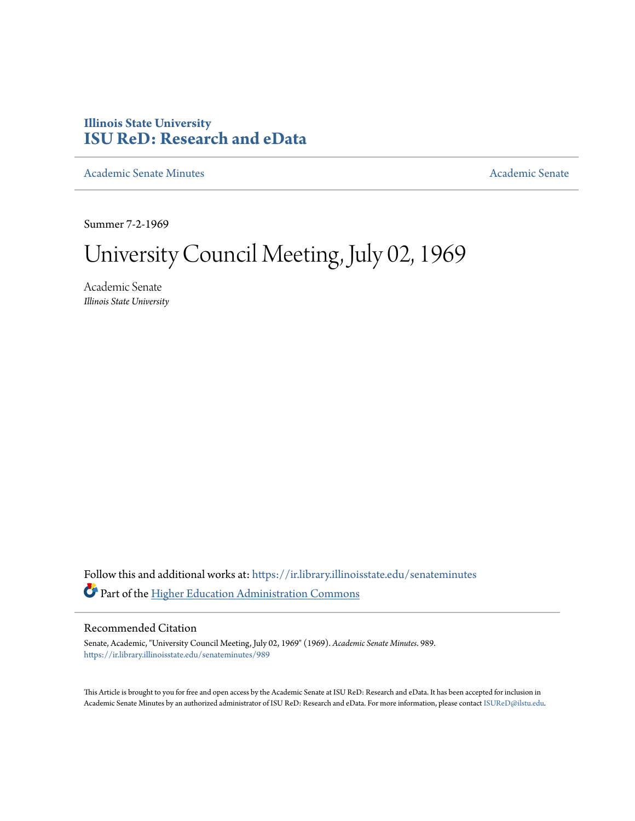# **Illinois State University [ISU ReD: Research and eData](https://ir.library.illinoisstate.edu?utm_source=ir.library.illinoisstate.edu%2Fsenateminutes%2F989&utm_medium=PDF&utm_campaign=PDFCoverPages)**

[Academic Senate Minutes](https://ir.library.illinoisstate.edu/senateminutes?utm_source=ir.library.illinoisstate.edu%2Fsenateminutes%2F989&utm_medium=PDF&utm_campaign=PDFCoverPages) [Academic Senate](https://ir.library.illinoisstate.edu/senate?utm_source=ir.library.illinoisstate.edu%2Fsenateminutes%2F989&utm_medium=PDF&utm_campaign=PDFCoverPages) Academic Senate

Summer 7-2-1969

# University Council Meeting, July 02, 1969

Academic Senate *Illinois State University*

Follow this and additional works at: [https://ir.library.illinoisstate.edu/senateminutes](https://ir.library.illinoisstate.edu/senateminutes?utm_source=ir.library.illinoisstate.edu%2Fsenateminutes%2F989&utm_medium=PDF&utm_campaign=PDFCoverPages) Part of the [Higher Education Administration Commons](http://network.bepress.com/hgg/discipline/791?utm_source=ir.library.illinoisstate.edu%2Fsenateminutes%2F989&utm_medium=PDF&utm_campaign=PDFCoverPages)

## Recommended Citation

Senate, Academic, "University Council Meeting, July 02, 1969" (1969). *Academic Senate Minutes*. 989. [https://ir.library.illinoisstate.edu/senateminutes/989](https://ir.library.illinoisstate.edu/senateminutes/989?utm_source=ir.library.illinoisstate.edu%2Fsenateminutes%2F989&utm_medium=PDF&utm_campaign=PDFCoverPages)

This Article is brought to you for free and open access by the Academic Senate at ISU ReD: Research and eData. It has been accepted for inclusion in Academic Senate Minutes by an authorized administrator of ISU ReD: Research and eData. For more information, please contact [ISUReD@ilstu.edu.](mailto:ISUReD@ilstu.edu)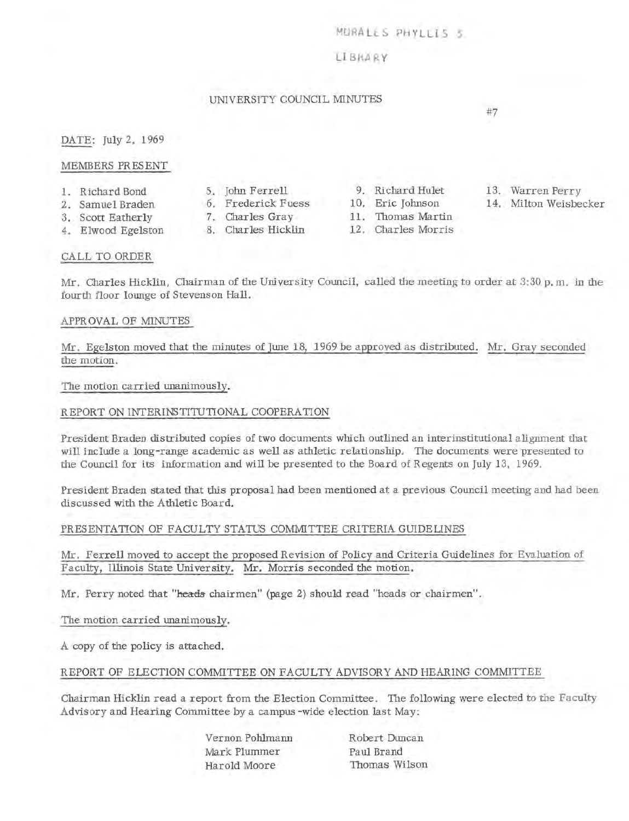#### MURALES PHYLLIS S

#### LI BRA RY

### UNIVERSITY COUNCIL MINUTES

#7

DATE: July 2, 1969

#### MEMBERS PRESENT

- 1. Richard Bond
- 2. Samuel Braden
- 
- 6. Frederick Fuess
- 3. Scott Eatherly 4. Elwood Egelston
- 7. Charles Gray 11. Thomas Martin
- 
- 
- 
- 
- 5. John Ferrell 9. Richard Hulet<br>6. Frederick Fuess 10. Eric Johnson
	-
- 8. Charles Hicklin 12. Charles Morris
- 13. Warren Perry
- 14. Milton Weisbecker

#### CALL TO ORDER

Mr. Charles Hicklin, Chairman of the University Council, called the meeting to order at 3:30 p. m. in the fourth floor lounge of Stevenson Hall.

#### APPROVAL OF MINUTES

Mr. Egelston moved that the minutes of June 18, 1969 be approved as distributed. Mr. Gray seconded the motion.

The motion carried unanimously.

#### REPORT ON INTERINSTITUTIONAL COOPERATION

President Braden distributed copies of two documents which outlined an interinstitutional alignment that will include a long-range academic as well as athletic relationship. The documents were presented to the Council for its information and will be presented to the Board of Regents on July 13, 1969.

President Braden stated that this proposal had been mentioned at a previous Council meeting and had been discussed with the Athletic Board.

#### PRESENTATION OF FACULTY STATUS COMMITTEE CRITERIA GUIDELINES

Mr. Ferrell moved to accept the proposed Revision of Policy and Criteria Guidelines for Evalmtion of Faculty, Illinois State University. Mr. Morris seconded the motion.

Mr. Perry noted that "heads chairmen" (page 2) should read "heads or chairmen".

The motion carried unanimously.

A copy of the policy is attached.

#### REPORT OF ELECTION COMMITTEE ON FACULTY ADVISORY AND HEARING COMMITTEE

Chairman Hicklin read a report from the Election Committee. The following were elected to the Faculty Advisory and Hearing Committee by a campus -wide election last May:

> Vernon Pohlmann Mark Plummer Harold Moore

Robert Duncan Paul Brand Thomas Wilson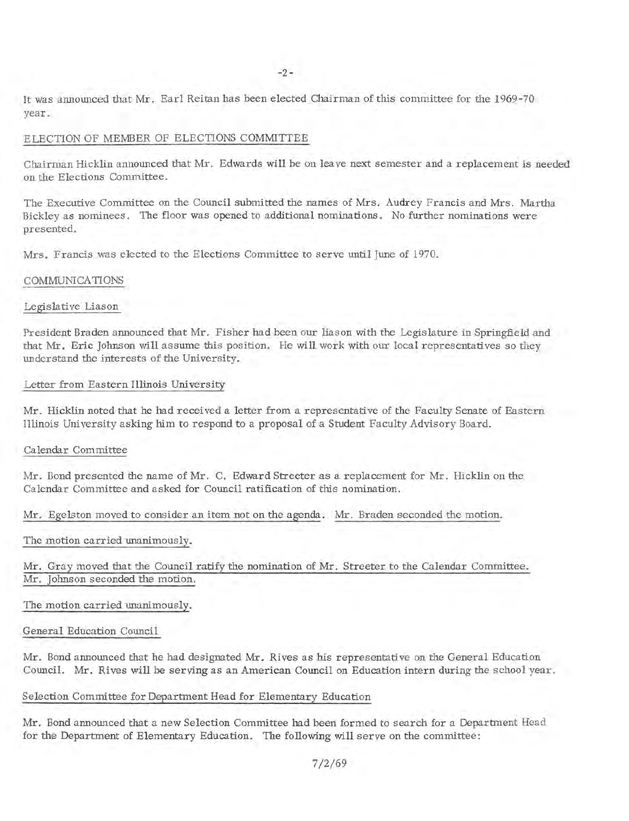It was announced that Mr. Earl Reitan has been elected Chairman of this committee for the 1969-70 year.

#### ELECTION OF MEMBER OF ELECTIONS COMMITTEE

Chairman Hicklin announced that Mr. Edwards **will** be on leave next semester and a replacement is needed on the Elections Committee.

The Executive Committee on the Council submitted the names of Mrs. Audrey Francis and Mrs. Martha Bickley as nominees. The floor was opened to additional nominations. No further nominations were presented.

Mrs. Francis was elected to the Elections Committee to serve until June of 1970.

#### COMMUNICATIONS

#### Legislative Liason

President Braden announced that Mr. Fisher had been our liason with the Legislature in Springfield and that Mr. Eric Johnson will assume this position. He will work with our local representatives so they understand the interests of the University.

#### Letter from Eastern Illinois University

Mr. Hicklin noted that he had received a letter from a representative of the Faculty Senate of Eastern Illinois University asking him to respond to a proposal of a Student Faculty Advisory Board.

#### Calendar Committee

Mr. Bond presented the name of Mr. C. Edward Streeter as a replacement for Mr. Hicklin on the Calendar Committee and asked for Council ratification of this nomination.

Mr. Egelston moved to consider an item not on the agenda. Mr. Braden seconded the motion.

The motion carried unanimously.

Mr. Gray moved that the Council ratify the nomination of Mr. Streeter to the Calendar Committee. Mr. Johnson seconded the motion.

The motion carried unanimously.

#### General Education Council

Mr. Bond announced that he had designated Mr. Rives as his representative on the General Education Council. Mr. Rives **will** be serving as an American Council on Education intern during the school year.

#### Selection Committee for Department Head for Elementary Education

Mr. Bond announced that a new Selection Committee had been formed to search for a Department Head for the Department of Elementary Education. The following will serve on the committee: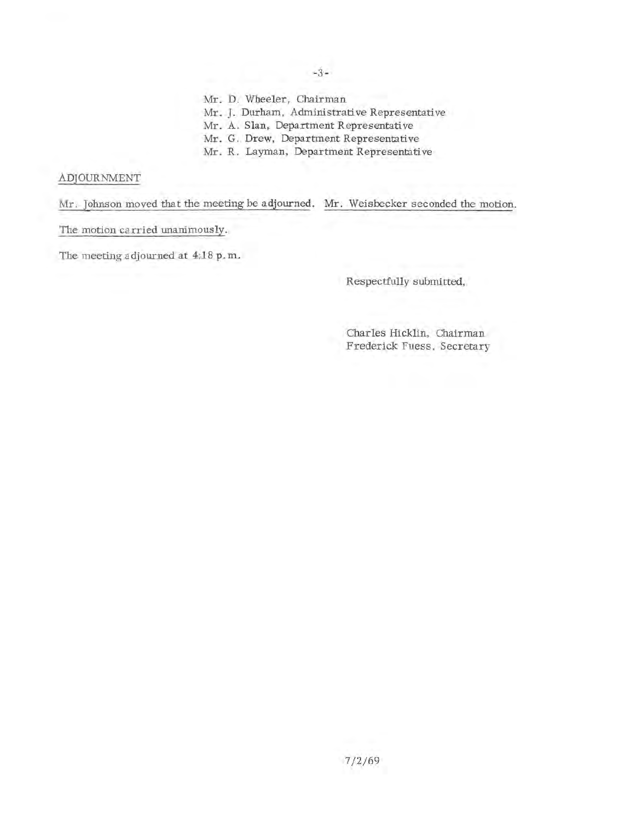-3-

Mr. D. Wheeler, Chairman

Mr. J. Durham, Administrative Representative

Mr. A. Slan, Department Representative

Mr. G. Drew, Department Representative

Mr. R. Layman, Department Representative

# ADJOURNMENT

Mr. Johnson moved that the meeting be adjourned. Mr. Weisbecker seconded the motion.

The motion ca rried unanimously.

The meeting adjourned at 4:18 p. m.

Respectfully submitted,

Charles Hicklin, Chairman Frederick Fuess, Secretary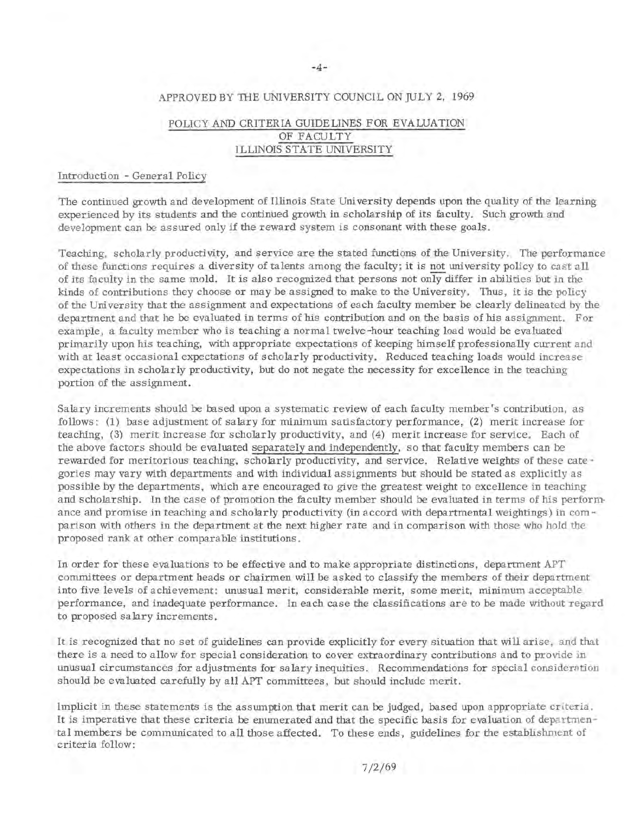#### APPROVED BY THE UNIVERSITY COUNCIL ON JULY 2, 1969

# POLICY AND CRITERIA GUIDELINES FOR EVALUATION OF FACULTY ILLINOIS STATE UNIVERSITY

#### Introduction - General Policy

The continued growth and development of Illinois State University depends upon the quality of the learning experienced by its students and the continued growth in scholarship of its faculty. Such growth and development can be assured only if the reward system is consonant with these goals.

Teaching, scholarly productivity, and service are the stated functions of the University. The performance of these functions requires a diversity of talents among the faculty; it is not university policy to cast all of its faculty in the same mold. It is also recognized that persons not only differ in abilities but in the kinds of contributions they choose or may be assigned to make to the University. Thus, it is the policy of the University that the assignment and expectations of each faculty member be clearly delineated by the department and that he be evaluated in terms of his contribution and on the basis of his assignment. For example, a faculty member who is teaching a normal twelve-hour teaching load would be evaluated primarily upon his teaching, with appropriate expectations of keeping himself professionally current and with at least occasional expectations of scholarly productivity. Reduced teaching loads would increase expectations in scholarly productivity, but do not negate the necessity for excellence in the teaching portion of the assignment.

Salary increments should be based upon a systematic review of each faculty member's contribution, as follows: (1) base adjustment of salary for minimum satisfactory performance, (2) merit increase for teaching, (3) merit increase for scholarly productivity, and (4) merit increase for service. Each of the above factors should be evaluated separately and independently, so that faculty members can be rewarded for meritorious teaching, scholarly productivity, and service. Relative weights of these cate gories may vary with departments and with individual assignments but should be stated as explicitly as possible by the departments, which are encouraged to give the greatest weight to excellence in teaching and scholarship. In the case of promotion the faculty member should be evaluated in terms of his perform ance and promise in teaching and scholarly productivity (in accord with departmental weightings) in comparison with others in the department at the next higher rate and in comparison with those who hold the proposed rank at other comparable institutions.

In order for these evaluations to be effective and to make appropriate distinctions, department APT committees or department heads or chairmen will be asked to classify the members of their department into five levels of achievement: unusual merit, considerable merit, some merit, minimum acceptable performance, and inadequate performance. In each case the classifications are to be made without regard to proposed salary increments.

It is recognized that no set of guidelines can provide explicitly for every situation that will arise, and that there is a need to allow for special consideration to cover extraordinary contributions and to provide in unusual circumstances for adjustments for salary inequities. Recommendations for special consideration should be evaluated carefully by all APT committees, but should include merit.

Implicit in these statements is the assumption that merit can be judged, based upon appropriate criteria . It is imperative that these criteria be enumerated and that the specific basis for evaluation of departmen tal members be communicated to all those affected. To these ends, guidelines for the establishment of criteria follow: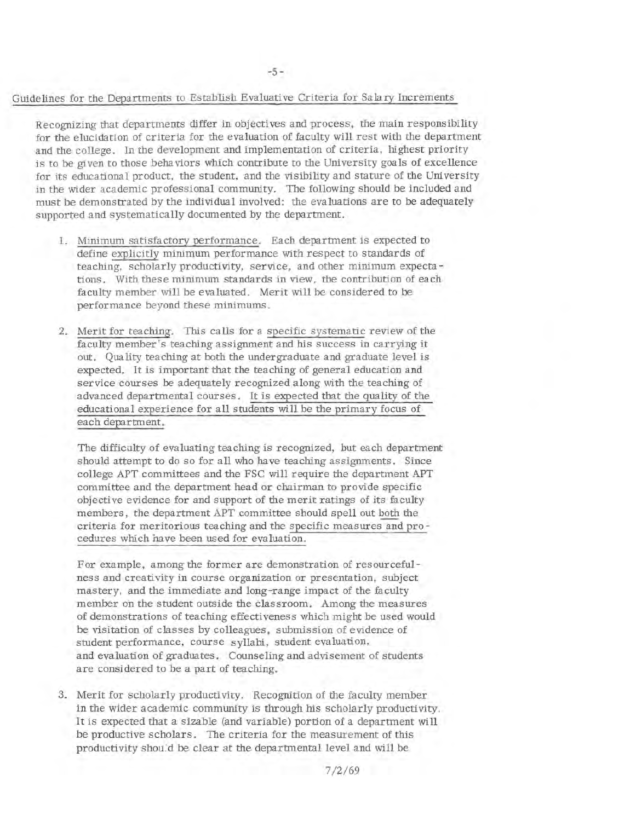#### Guidelines for the Departments to Establish Evaluative Criteria for Salary Increments

Recognizing that departments differ in objectives and process, the main responsibility for the elucidation of criteria for the evaluation of faculty will rest with the department and the college. In the development and implementation of criteria, highest priority is to be given to those behaviors which contribute to the University goals of excellence for its educational product, the student, and the visibility and stature of the University in the wider academic professional community. The following should be included and must be demonstrated by the individual involved: the evaluations are to be adequately supported and systematically documented by the department.

- 1. Minimum satisfactory performance. Each department is expected to define explicitly minimum performance with respect to standards of teaching, scholarly productivity, service, and other minimum expectations. With these minimum standards in view, the contribution of each faculty member will be evaluated. Merit will be considered to be performance beyond these minimums.
- 2. Merit for teaching. This calls for a specific systematic review of the faculty member's teaching assignment and his success in carrying it out. Quality teaching at both the undergraduate and graduate level is expected. It is important that the teaching of general education and service courses be adequately recognized along with the teaching of advanced departmental courses. It is expected that the quality of the educational experience for all students will be the primary focus of each department.

The difficulty of evaluating teaching is recognized, but each department should attempt to do so for all who have teaching assignments. Since college APT committees and the FSC will require the department APT committee and the department head or chairman to provide specific objective evidence for and support of the merit ratings of its faculty members, the department APT committee should spell out both the criteria for meritorious teaching and the specific measures and pro cedures which have been used for evaluation.

For example, among the former are demonstration of resourcefulness and creativity in course organization or presentation, subject mastery, and the immediate and long-range impact of the faculty member on the student outside the classroom. Among the measures of demonstrations of teaching effectiveness which might be used would be visitation of classes by colleagues, submission of evidence of student performance, course syllabi, student evaluation, and evaluation of graduates. Counseling and advisement of students are considered to be a part of teaching.

3. Merit for scholarly productivity. Recognition of the faculty member in the wider academic community is through his scholarly productivity. It is expected that a sizable (and variable) portion of a department will be productive scholars. The criteria for the measurement of this productivity shou:d be clear at the departmental level and will be